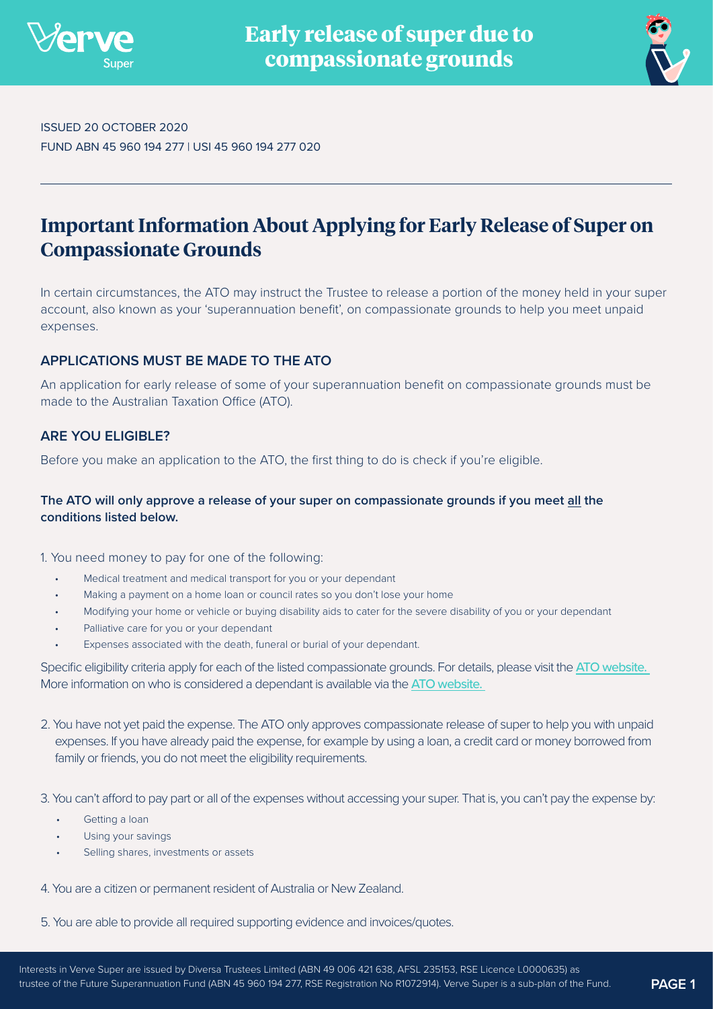



ISSUED 20 OCTOBER 2020 FUND ABN 45 960 194 277 | USI 45 960 194 277 020

# **Important Information About Applying for Early Release of Super on Compassionate Grounds**

In certain circumstances, the ATO may instruct the Trustee to release a portion of the money held in your super account, also known as your 'superannuation benefit', on compassionate grounds to help you meet unpaid expenses.

## **APPLICATIONS MUST BE MADE TO THE ATO**

An application for early release of some of your superannuation benefit on compassionate grounds must be made to the Australian Taxation Office (ATO).

## **ARE YOU ELIGIBLE?**

Before you make an application to the ATO, the first thing to do is check if you're eligible.

## **The ATO will only approve a release of your super on compassionate grounds if you meet all the conditions listed below.**

1. You need money to pay for one of the following:

- Medical treatment and medical transport for you or your dependant
- Making a payment on a home loan or council rates so you don't lose your home
- Modifying your home or vehicle or buying disability aids to cater for the severe disability of you or your dependant
- Palliative care for you or your dependant
- Expenses associated with the death, funeral or burial of your dependant.

Specific eligibility criteria apply for each of the listed compassionate grounds. For details, please visit the ATO website. More information on who is considered a dependant is available via the [ATO website.](https://www.ato.gov.au/Individuals/Super/In-detail/Withdrawing-and-using-your-super/Early-access-on-compassionate-grounds/?anchor=Definitionofadependant#Definitionofadependant) 

- 2. You have not yet paid the expense. The ATO only approves compassionate release of super to help you with unpaid expenses. If you have already paid the expense, for example by using a loan, a credit card or money borrowed from family or friends, you do not meet the eligibility requirements.
- 3. You can't afford to pay part or all of the expenses without accessing your super. That is, you can't pay the expense by:
	- Getting a loan
	- Using your savings
	- Selling shares, investments or assets
- 4. You are a citizen or permanent resident of Australia or New Zealand.
- 5. You are able to provide all required supporting evidence and invoices/quotes.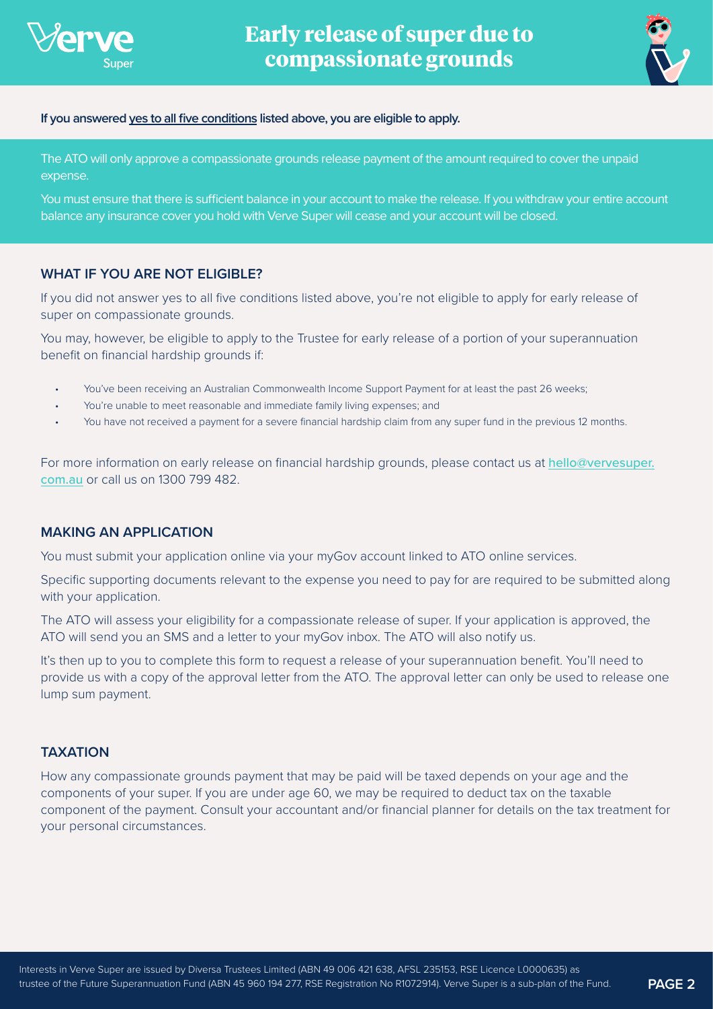

**Early release of super due to compassionate grounds**



#### **If you answered yes to all five conditions listed above, you are eligible to apply.**

The ATO will only approve a compassionate grounds release payment of the amount required to cover the unpaid expense.

You must ensure that there is sufficient balance in your account to make the release. If you withdraw your entire account balance any insurance cover you hold with Verve Super will cease and your account will be closed.

## **WHAT IF YOU ARE NOT ELIGIBLE?**

If you did not answer yes to all five conditions listed above, you're not eligible to apply for early release of super on compassionate grounds.

You may, however, be eligible to apply to the Trustee for early release of a portion of your superannuation benefit on financial hardship grounds if:

- You've been receiving an Australian Commonwealth Income Support Payment for at least the past 26 weeks;
- You're unable to meet reasonable and immediate family living expenses; and
- You have not received a payment for a severe financial hardship claim from any super fund in the previous 12 months.

For more information on early release on financial hardship grounds, please contact us at [hello@vervesuper.](mailto:hello%40vervesuper.com.au?subject=) [com.au](mailto:hello%40vervesuper.com.au?subject=) or call us on 1300 799 482.

## **MAKING AN APPLICATION**

You must submit your application online via your myGov account linked to ATO online services.

Specific supporting documents relevant to the expense you need to pay for are required to be submitted along with your application.

The ATO will assess your eligibility for a compassionate release of super. If your application is approved, the ATO will send you an SMS and a letter to your myGov inbox. The ATO will also notify us.

It's then up to you to complete this form to request a release of your superannuation benefit. You'll need to provide us with a copy of the approval letter from the ATO. The approval letter can only be used to release one lump sum payment.

## **TAXATION**

How any compassionate grounds payment that may be paid will be taxed depends on your age and the components of your super. If you are under age 60, we may be required to deduct tax on the taxable component of the payment. Consult your accountant and/or financial planner for details on the tax treatment for your personal circumstances.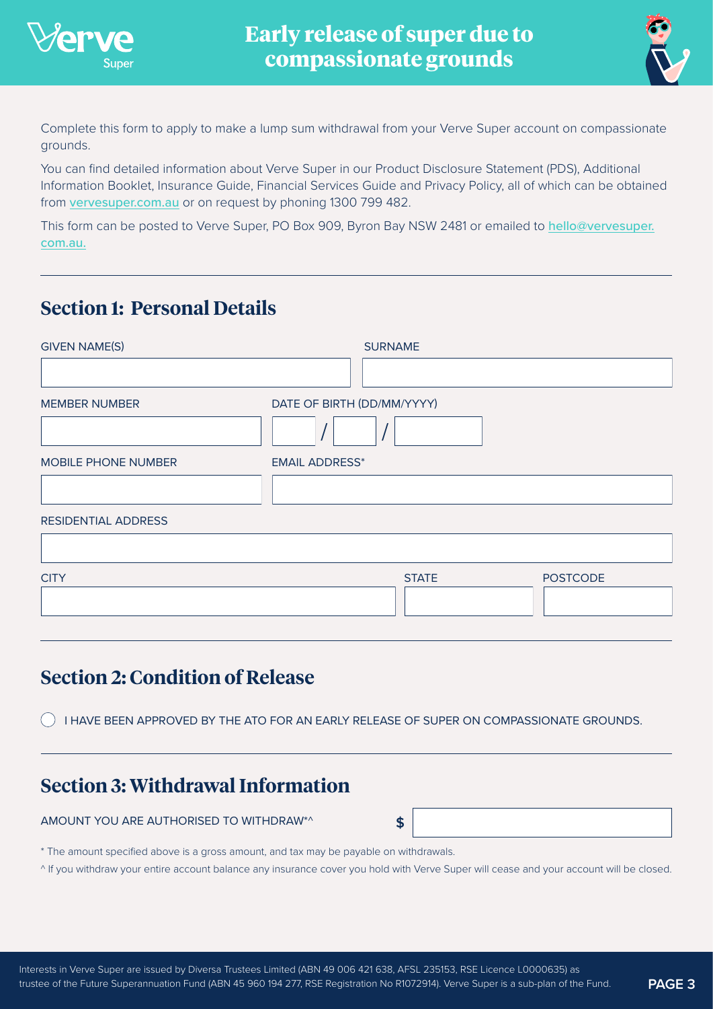



Complete this form to apply to make a lump sum withdrawal from your Verve Super account on compassionate grounds.

You can find detailed information about Verve Super in our Product Disclosure Statement (PDS), Additional Information Booklet, Insurance Guide, Financial Services Guide and Privacy Policy, all of which can be obtained from [vervesuper.com.au](http://www.vervesuper.com.au) or on request by phoning 1300 799 482.

This form can be posted to Verve Super, PO Box 909, Byron Bay NSW 2481 or emailed to [hello@vervesuper.](mailto:hello%40vervesuper.com.au?subject=) [com.au.](mailto:hello%40vervesuper.com.au?subject=)

# **[Section 1: Personal Details](mailto:hello%40vervesuper.com.au?subject=)**

| <b>GIVEN NAME(S)</b> | <b>SURNAME</b>                  |
|----------------------|---------------------------------|
| <b>MEMBER NUMBER</b> | DATE OF BIRTH (DD/MM/YYYY)      |
| MOBILE PHONE NUMBER  | <b>EMAIL ADDRESS*</b>           |
| RESIDENTIAL ADDRESS  |                                 |
| <b>CITY</b>          | <b>POSTCODE</b><br><b>STATE</b> |

# **Section 2: Condition of Release**

() I HAVE BEEN APPROVED BY THE ATO FOR AN EARLY RELEASE OF SUPER ON COMPASSIONATE GROUNDS.

# **Section 3: Withdrawal Information**

AMOUNT YOU ARE AUTHORISED TO WITHDRAW\*^ **\$**

\* The amount specified above is a gross amount, and tax may be payable on withdrawals.

^ If you withdraw your entire account balance any insurance cover you hold with Verve Super will cease and your account will be closed.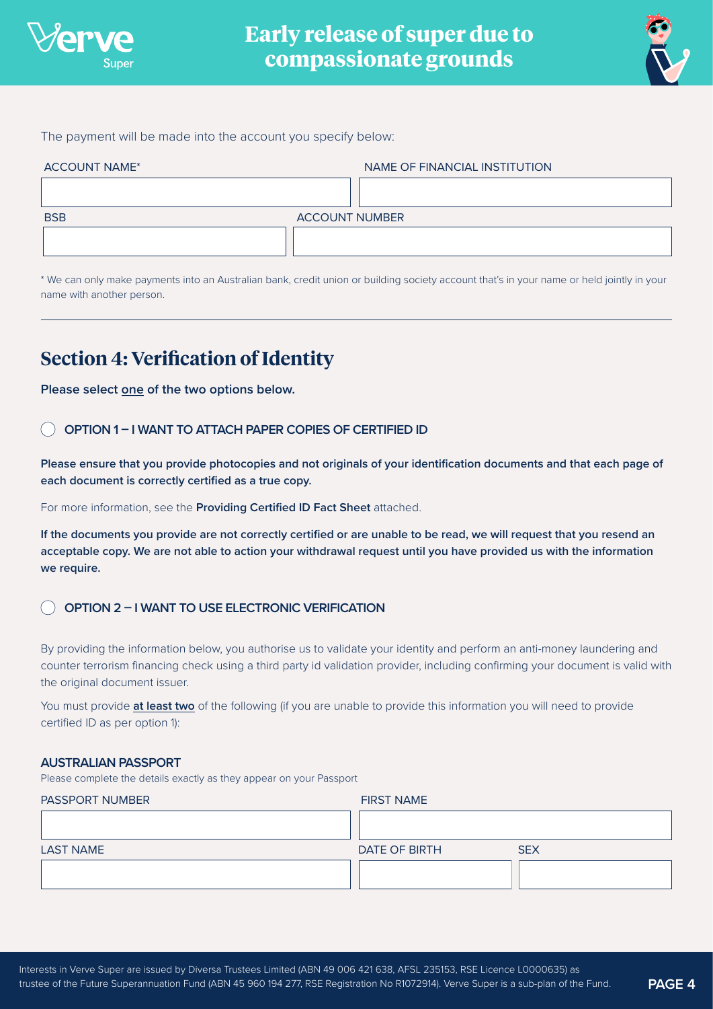

**Early release of super due to compassionate grounds**



The payment will be made into the account you specify below:

| <b>ACCOUNT NAME*</b> | NAME OF FINANCIAL INSTITUTION |
|----------------------|-------------------------------|
|                      |                               |
| <b>BSB</b>           | <b>ACCOUNT NUMBER</b>         |
|                      |                               |
|                      |                               |

\* We can only make payments into an Australian bank, credit union or building society account that's in your name or held jointly in your name with another person.

# **Section 4: Verification of Identity**

**Please select one of the two options below.**

### **OPTION 1 – I WANT TO ATTACH PAPER COPIES OF CERTIFIED ID**

**Please ensure that you provide photocopies and not originals of your identification documents and that each page of each document is correctly certified as a true copy.** 

For more information, see the **Providing Certified ID Fact Sheet** attached.

**If the documents you provide are not correctly certified or are unable to be read, we will request that you resend an acceptable copy. We are not able to action your withdrawal request until you have provided us with the information we require.**

## **OPTION 2 – I WANT TO USE ELECTRONIC VERIFICATION**

By providing the information below, you authorise us to validate your identity and perform an anti-money laundering and counter terrorism financing check using a third party id validation provider, including confirming your document is valid with the original document issuer.

You must provide **at least two** of the following (if you are unable to provide this information you will need to provide certified ID as per option 1):

#### **AUSTRALIAN PASSPORT**

Please complete the details exactly as they appear on your Passport

| <b>PASSPORT NUMBER</b> | <b>FIRST NAME</b>           |
|------------------------|-----------------------------|
|                        |                             |
| <b>LAST NAME</b>       | <b>SEX</b><br>DATE OF BIRTH |
|                        |                             |
|                        |                             |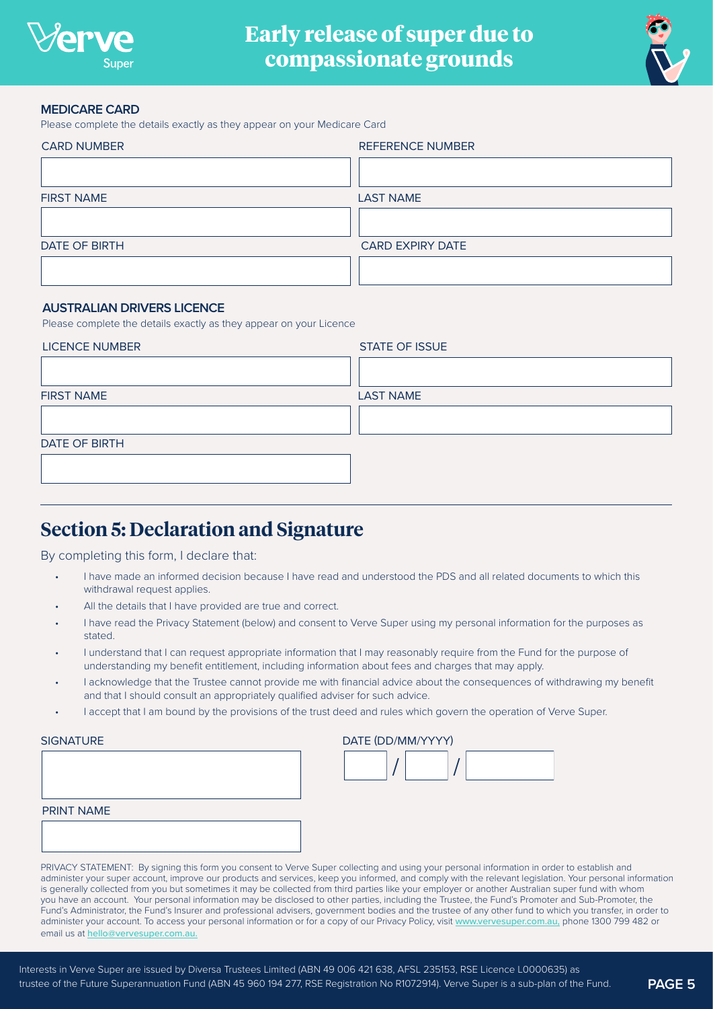

**Early release of super due to compassionate grounds**



#### **MEDICARE CARD**

Please complete the details exactly as they appear on your Medicare Card

| <b>CARD NUMBER</b> | <b>REFERENCE NUMBER</b> |  |
|--------------------|-------------------------|--|
|                    |                         |  |
| <b>FIRST NAME</b>  | <b>LAST NAME</b>        |  |
|                    |                         |  |
| DATE OF BIRTH      | <b>CARD EXPIRY DATE</b> |  |
|                    |                         |  |

### **AUSTRALIAN DRIVERS LICENCE**

Please complete the details exactly as they appear on your Licence

| <b>LICENCE NUMBER</b> | <b>STATE OF ISSUE</b> |  |
|-----------------------|-----------------------|--|
|                       |                       |  |
| <b>FIRST NAME</b>     | <b>LAST NAME</b>      |  |
|                       |                       |  |
| DATE OF BIRTH         |                       |  |
|                       |                       |  |

## **Section 5: Declaration and Signature**

By completing this form, I declare that:

- I have made an informed decision because I have read and understood the PDS and all related documents to which this withdrawal request applies.
- All the details that I have provided are true and correct.
- I have read the Privacy Statement (below) and consent to Verve Super using my personal information for the purposes as stated.
- I understand that I can request appropriate information that I may reasonably require from the Fund for the purpose of understanding my benefit entitlement, including information about fees and charges that may apply.
- I acknowledge that the Trustee cannot provide me with financial advice about the consequences of withdrawing my benefit and that I should consult an appropriately qualified adviser for such advice.
- I accept that I am bound by the provisions of the trust deed and rules which govern the operation of Verve Super.

| <b>SIGNATURE</b> |  |  |  |
|------------------|--|--|--|
|                  |  |  |  |

| PRINT NAME |  |  |
|------------|--|--|
|            |  |  |
|            |  |  |

| SIGNATURE | DATE (DD/MM/YYYY) |  |  |
|-----------|-------------------|--|--|
|           |                   |  |  |

PRIVACY STATEMENT: By signing this form you consent to Verve Super collecting and using your personal information in order to establish and administer your super account, improve our products and services, keep you informed, and comply with the relevant legislation. Your personal information is generally collected from you but sometimes it may be collected from third parties like your employer or another Australian super fund with whom you have an account. Your personal information may be disclosed to other parties, including the Trustee, the Fund's Promoter and Sub-Promoter, the Fund's Administrator, the Fund's Insurer and professional advisers, government bodies and the trustee of any other fund to which you transfer, in order to administer your account. To access your personal information or for a copy of our Privacy Policy, visit [www.vervesuper.com.au,](http://www.vervesuper.com.au) phone 1300 799 482 or email us at [hello@vervesuper.com.au.](mailto:hello%40vervesuper.com.au?subject=)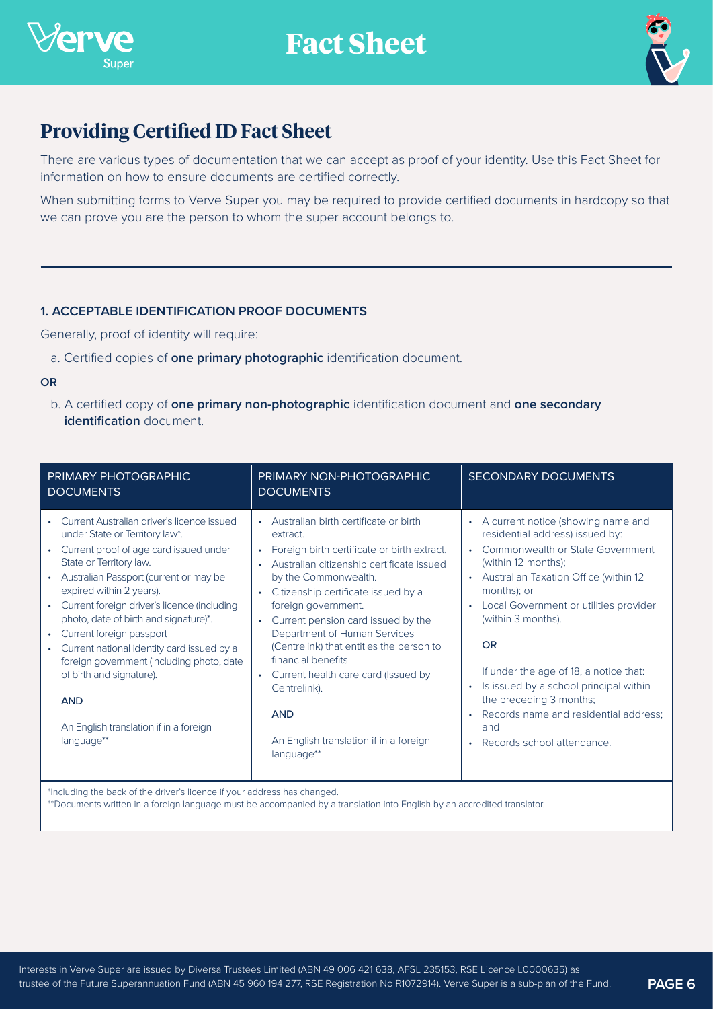



# **Providing Certified ID Fact Sheet**

There are various types of documentation that we can accept as proof of your identity. Use this Fact Sheet for information on how to ensure documents are certified correctly.

When submitting forms to Verve Super you may be required to provide certified documents in hardcopy so that we can prove you are the person to whom the super account belongs to.

## **1. ACCEPTABLE IDENTIFICATION PROOF DOCUMENTS**

Generally, proof of identity will require:

a. Certified copies of **one primary photographic** identification document.

#### **OR**

 b. A certified copy of **one primary non-photographic** identification document and **one secondary identification** document.

| PRIMARY PHOTOGRAPHIC<br><b>DOCUMENTS</b>                                                                                                                                                                                                                                                                                                                                                                                                                                                                                                 | PRIMARY NON-PHOTOGRAPHIC<br><b>DOCUMENTS</b>                                                                                                                                                                                                                                                                                                                                                                                                                                                                                              | <b>SECONDARY DOCUMENTS</b>                                                                                                                                                                                                                                                                                                                                                                                                                                                                                        |
|------------------------------------------------------------------------------------------------------------------------------------------------------------------------------------------------------------------------------------------------------------------------------------------------------------------------------------------------------------------------------------------------------------------------------------------------------------------------------------------------------------------------------------------|-------------------------------------------------------------------------------------------------------------------------------------------------------------------------------------------------------------------------------------------------------------------------------------------------------------------------------------------------------------------------------------------------------------------------------------------------------------------------------------------------------------------------------------------|-------------------------------------------------------------------------------------------------------------------------------------------------------------------------------------------------------------------------------------------------------------------------------------------------------------------------------------------------------------------------------------------------------------------------------------------------------------------------------------------------------------------|
| Current Australian driver's licence issued<br>under State or Territory law*.<br>Current proof of age card issued under<br>State or Territory law.<br>Australian Passport (current or may be<br>expired within 2 years).<br>Current foreign driver's licence (including<br>photo, date of birth and signature)*.<br>Current foreign passport<br>Current national identity card issued by a<br>foreign government (including photo, date<br>of birth and signature).<br><b>AND</b><br>An English translation if in a foreign<br>language** | • Australian birth certificate or birth<br>extract.<br>• Foreign birth certificate or birth extract.<br>Australian citizenship certificate issued<br>by the Commonwealth.<br>Citizenship certificate issued by a<br>$\bullet$<br>foreign government.<br>Current pension card issued by the<br>$\bullet$ .<br>Department of Human Services<br>(Centrelink) that entitles the person to<br>financial benefits.<br>Current health care card (Issued by<br>Centrelink).<br><b>AND</b><br>An English translation if in a foreign<br>language** | • A current notice (showing name and<br>residential address) issued by:<br>Commonwealth or State Government<br>(within 12 months);<br>Australian Taxation Office (within 12<br>$\bullet$<br>months); or<br>Local Government or utilities provider<br>$\bullet$<br>(within 3 months).<br>OR<br>If under the age of 18, a notice that:<br>Is issued by a school principal within<br>$\bullet$<br>the preceding 3 months;<br>Records name and residential address;<br>$\bullet$<br>and<br>Records school attendance. |

\*Including the back of the driver's licence if your address has changed.

\*\*Documents written in a foreign language must be accompanied by a translation into English by an accredited translator.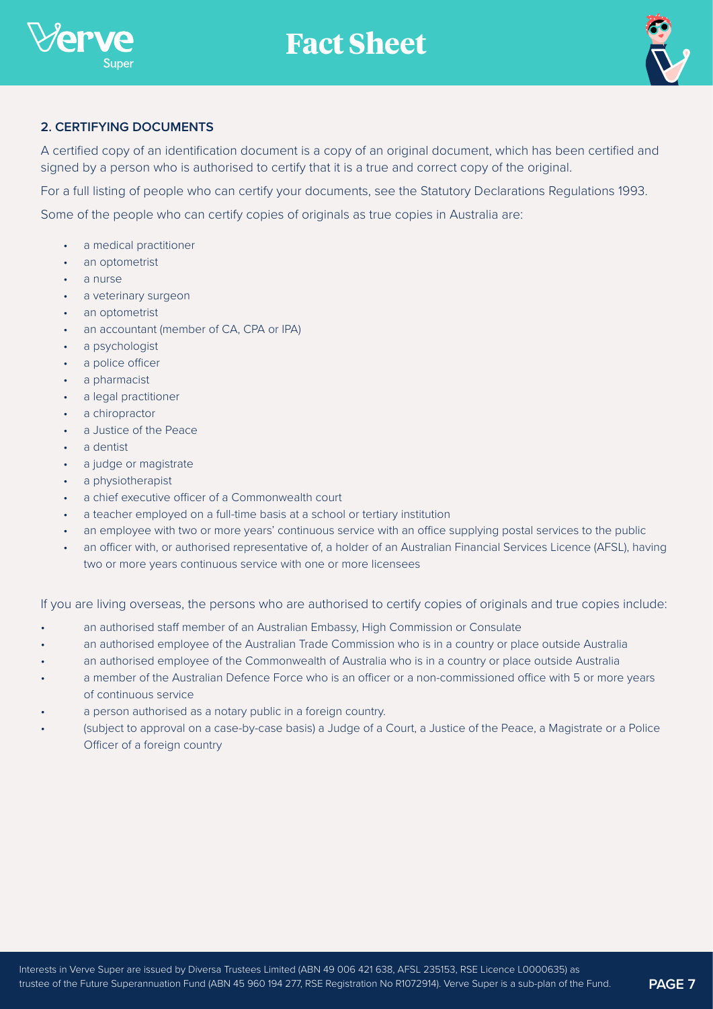



## **2. CERTIFYING DOCUMENTS**

A certified copy of an identification document is a copy of an original document, which has been certified and signed by a person who is authorised to certify that it is a true and correct copy of the original.

For a full listing of people who can certify your documents, see the Statutory Declarations Regulations 1993.

Some of the people who can certify copies of originals as true copies in Australia are:

- a medical practitioner
- an optometrist
- a nurse
- a veterinary surgeon
- an optometrist
- an accountant (member of CA, CPA or IPA)
- a psychologist
- a police officer
- a pharmacist
- a legal practitioner
- a chiropractor
- a Justice of the Peace
- a dentist
- a judge or magistrate
- a physiotherapist
- a chief executive officer of a Commonwealth court
- a teacher employed on a full-time basis at a school or tertiary institution
- an employee with two or more years' continuous service with an office supplying postal services to the public
- an officer with, or authorised representative of, a holder of an Australian Financial Services Licence (AFSL), having two or more years continuous service with one or more licensees

If you are living overseas, the persons who are authorised to certify copies of originals and true copies include:

- an authorised staff member of an Australian Embassy, High Commission or Consulate
- an authorised employee of the Australian Trade Commission who is in a country or place outside Australia
- an authorised employee of the Commonwealth of Australia who is in a country or place outside Australia
- a member of the Australian Defence Force who is an officer or a non-commissioned office with 5 or more years of continuous service
- a person authorised as a notary public in a foreign country.
- (subject to approval on a case-by-case basis) a Judge of a Court, a Justice of the Peace, a Magistrate or a Police Officer of a foreign country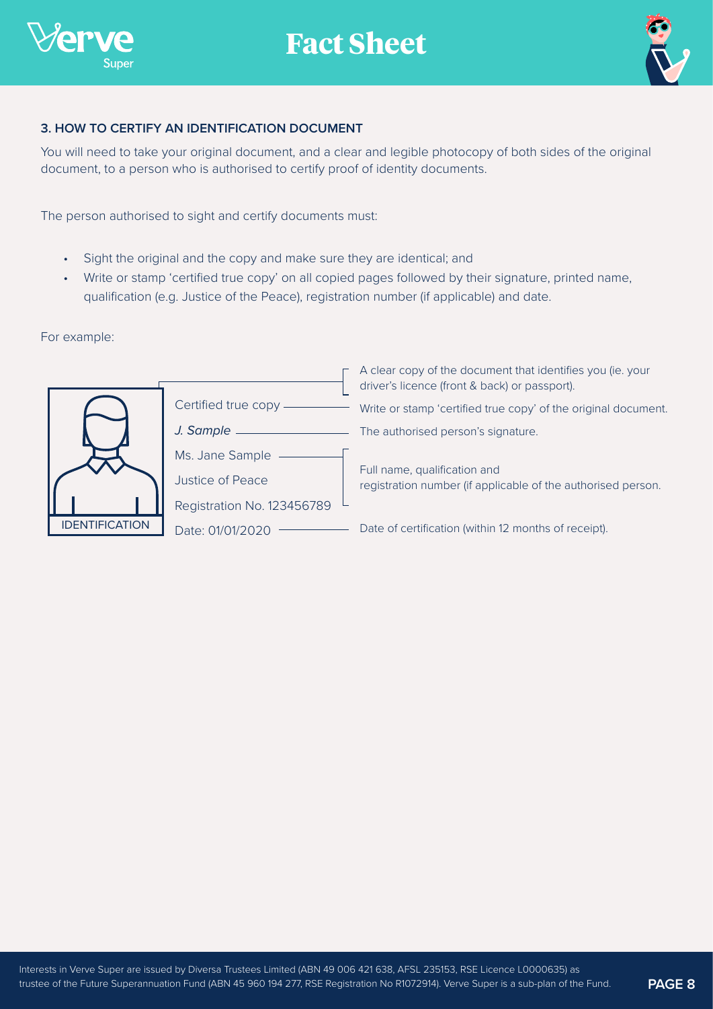



## **3. HOW TO CERTIFY AN IDENTIFICATION DOCUMENT**

You will need to take your original document, and a clear and legible photocopy of both sides of the original document, to a person who is authorised to certify proof of identity documents.

The person authorised to sight and certify documents must:

- Sight the original and the copy and make sure they are identical; and
- Write or stamp 'certified true copy' on all copied pages followed by their signature, printed name, qualification (e.g. Justice of the Peace), registration number (if applicable) and date.

For example:



| Certified true copy —      |  |
|----------------------------|--|
| J. Sample ______           |  |
| Ms. Jane Sample ——         |  |
| Justice of Peace           |  |
| Registration No. 123456789 |  |
| Date: 01/01/2020           |  |

A clear copy of the document that identifies you (ie. your driver's licence (front & back) or passport).

Write or stamp 'certified true copy' of the original document.

The authorised person's signature.

Full name, qualification and registration number (if applicable of the authorised person.

Date of certification (within 12 months of receipt).